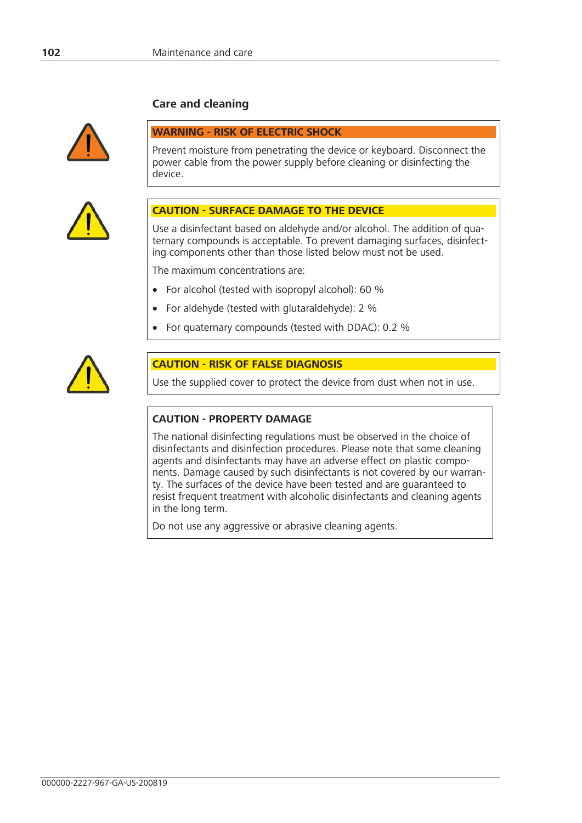# **Care and cleaning**



### **WARNING - RISK OF ELECTRIC SHOCK**

Prevent moisture from penetrating the device or keyboard. Disconnect the power cable from the power supply before cleaning or disinfecting the device.



#### **CAUTION - SURFACE DAMAGE TO THE DEVICE**

Use a disinfectant based on aldehyde and/or alcohol. The addition of quaternary compounds is acceptable. To prevent damaging surfaces, disinfecting components other than those listed below must not be used.

The maximum concentrations are:

- For alcohol (tested with isopropyl alcohol): 60 %
- For aldehyde (tested with glutaraldehyde): 2 %
- x For quaternary compounds (tested with DDAC): 0.2 %



# **CAUTION - RISK OF FALSE DIAGNOSIS**

Use the supplied cover to protect the device from dust when not in use.

#### **CAUTION - PROPERTY DAMAGE**

The national disinfecting regulations must be observed in the choice of disinfectants and disinfection procedures. Please note that some cleaning agents and disinfectants may have an adverse effect on plastic components. Damage caused by such disinfectants is not covered by our warranty. The surfaces of the device have been tested and are guaranteed to resist frequent treatment with alcoholic disinfectants and cleaning agents in the long term.

Do not use any aggressive or abrasive cleaning agents.